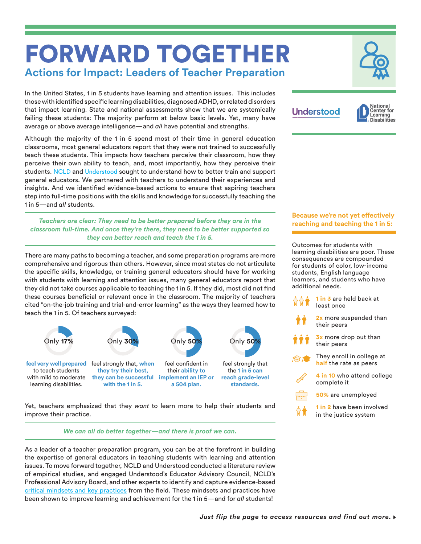# FORWARD TOGETHER **Actions for Impact: Leaders of Teacher Preparation**

In the United States, 1 in 5 students have learning and attention issues. This includes those with identified specific learning disabilities, diagnosed ADHD, or related disorders that impact learning. State and national assessments show that we are systemically failing these students: The majority perform at below basic levels. Yet, many have average or above average intelligence—and *all* have potential and strengths.

Although the majority of the 1 in 5 spend most of their time in general education classrooms, most general educators report that they were not trained to successfully teach these students. This impacts how teachers perceive their classroom, how they perceive their own ability to teach, and, most importantly, how they perceive their students. [NCLD](http://ncld.org/) and [Understood](https://www.understood.org/en) sought to understand how to better train and support general educators. We partnered with teachers to understand their experiences and insights. And we identified evidence-based actions to ensure that aspiring teachers step into full-time positions with the skills and knowledge for successfully teaching the 1 in 5—and *all* students.

*Teachers are clear: They need to be better prepared before they are in the classroom full-time. And once they're there, they need to be better supported so they can better reach and teach the 1 in 5.* 

There are many paths to becoming a teacher, and some preparation programs are more comprehensive and rigorous than others. However, since most states do not articulate the specific skills, knowledge, or training general educators should have for working with students with learning and attention issues, many general educators report that they did not take courses applicable to teaching the 1 in 5. If they did, most did not find these courses beneficial or relevant once in the classroom. The majority of teachers cited "on-the-job training and trial-and-error learning" as the ways they learned how to teach the 1 in 5. Of teachers surveyed:



Yet, teachers emphasized that they *want* to learn more to help their students and improve their practice.

### *We can all do better together—and there is proof we can.*

As a leader of a teacher preparation program, you can be at the forefront in building the expertise of general educators in teaching students with learning and attention issues. To move forward together, NCLD and Understood conducted a literature review of empirical studies, and engaged Understood's Educator Advisory Council, NCLD's Professional Advisory Board, and other experts to identify and capture evidence-based [critical mindsets and key practices](www.ncld.org/forwardtogetherkeyfindings) from the field. These mindsets and practices have been shown to improve learning and achievement for the 1 in 5—and for *all* students!



## **Understood**



### **Because we're not yet effectively reaching and teaching the 1 in 5:**

Outcomes for students with learning disabilities are poor. These consequences are compounded for students of color, low-income students, English language learners, and students who have additional needs.